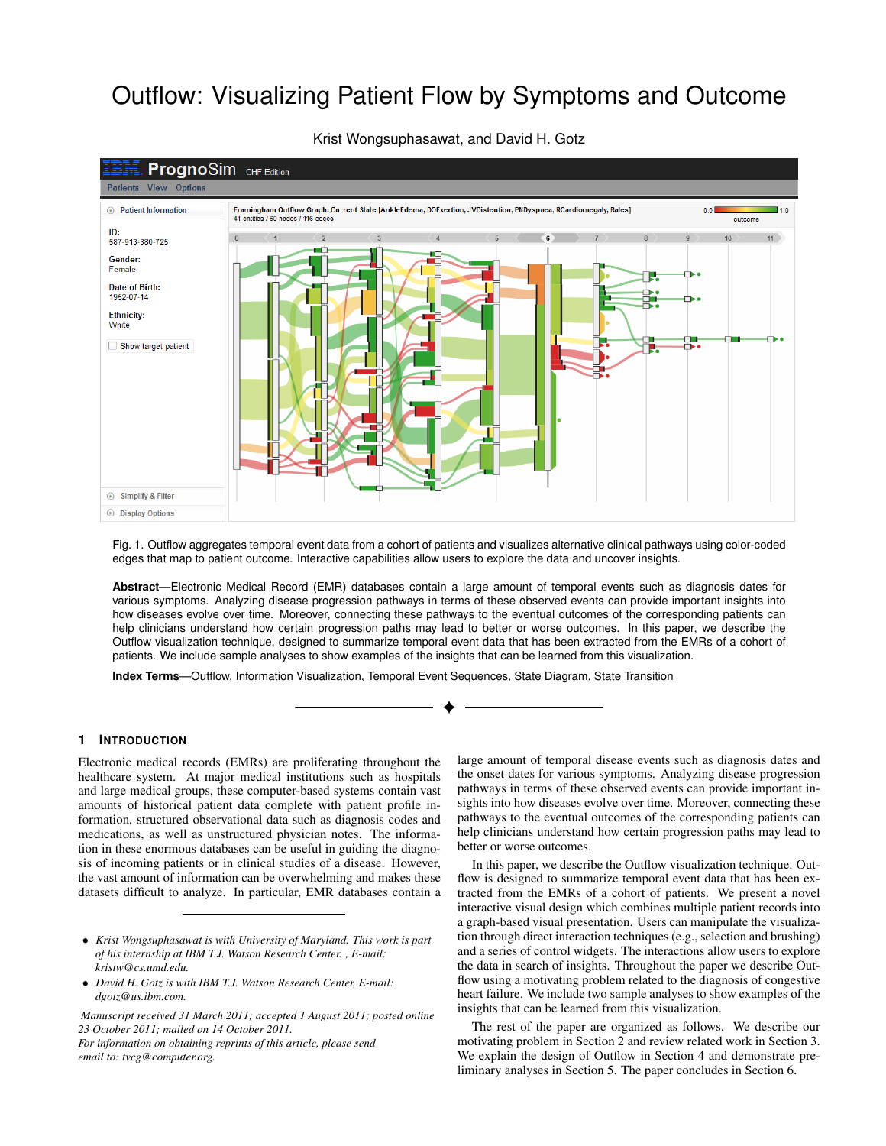# Outflow: Visualizing Patient Flow by Symptoms and Outcome



Krist Wongsuphasawat, and David H. Gotz

Fig. 1. Outflow aggregates temporal event data from a cohort of patients and visualizes alternative clinical pathways using color-coded edges that map to patient outcome. Interactive capabilities allow users to explore the data and uncover insights.

**Abstract**—Electronic Medical Record (EMR) databases contain a large amount of temporal events such as diagnosis dates for various symptoms. Analyzing disease progression pathways in terms of these observed events can provide important insights into how diseases evolve over time. Moreover, connecting these pathways to the eventual outcomes of the corresponding patients can help clinicians understand how certain progression paths may lead to better or worse outcomes. In this paper, we describe the Outflow visualization technique, designed to summarize temporal event data that has been extracted from the EMRs of a cohort of patients. We include sample analyses to show examples of the insights that can be learned from this visualization.

**Index Terms**—Outflow, Information Visualization, Temporal Event Sequences, State Diagram, State Transition

# **1 INTRODUCTION**

Electronic medical records (EMRs) are proliferating throughout the healthcare system. At major medical institutions such as hospitals and large medical groups, these computer-based systems contain vast amounts of historical patient data complete with patient profile information, structured observational data such as diagnosis codes and medications, as well as unstructured physician notes. The information in these enormous databases can be useful in guiding the diagnosis of incoming patients or in clinical studies of a disease. However, the vast amount of information can be overwhelming and makes these datasets difficult to analyze. In particular, EMR databases contain a

*Manuscript received 31 March 2011; accepted 1 August 2011; posted online 23 October 2011; mailed on 14 October 2011. For information on obtaining reprints of this article, please send*

*email to: tvcg@computer.org.*

large amount of temporal disease events such as diagnosis dates and the onset dates for various symptoms. Analyzing disease progression pathways in terms of these observed events can provide important insights into how diseases evolve over time. Moreover, connecting these pathways to the eventual outcomes of the corresponding patients can help clinicians understand how certain progression paths may lead to better or worse outcomes.

In this paper, we describe the Outflow visualization technique. Outflow is designed to summarize temporal event data that has been extracted from the EMRs of a cohort of patients. We present a novel interactive visual design which combines multiple patient records into a graph-based visual presentation. Users can manipulate the visualization through direct interaction techniques (e.g., selection and brushing) and a series of control widgets. The interactions allow users to explore the data in search of insights. Throughout the paper we describe Outflow using a motivating problem related to the diagnosis of congestive heart failure. We include two sample analyses to show examples of the insights that can be learned from this visualization.

The rest of the paper are organized as follows. We describe our motivating problem in Section 2 and review related work in Section 3. We explain the design of Outflow in Section 4 and demonstrate preliminary analyses in Section 5. The paper concludes in Section 6.

<sup>•</sup> *Krist Wongsuphasawat is with University of Maryland. This work is part of his internship at IBM T.J. Watson Research Center. , E-mail: kristw@cs.umd.edu.*

<sup>•</sup> *David H. Gotz is with IBM T.J. Watson Research Center, E-mail: dgotz@us.ibm.com.*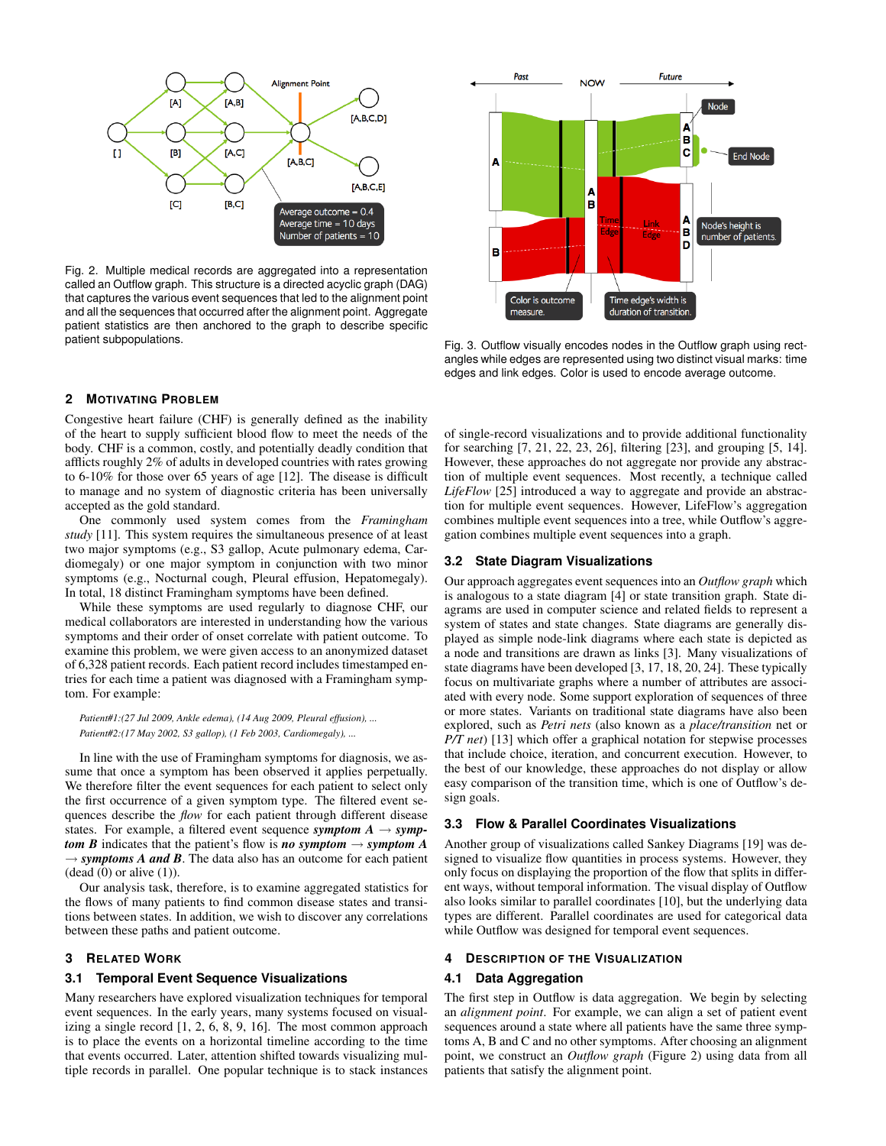

Fig. 2. Multiple medical records are aggregated into a representation called an Outflow graph. This structure is a directed acyclic graph (DAG) that captures the various event sequences that led to the alignment point and all the sequences that occurred after the alignment point. Aggregate patient statistics are then anchored to the graph to describe specific patient subpopulations.

# **2 MOTIVATING PROBLEM**

Congestive heart failure (CHF) is generally defined as the inability of the heart to supply sufficient blood flow to meet the needs of the body. CHF is a common, costly, and potentially deadly condition that afflicts roughly 2% of adults in developed countries with rates growing to 6-10% for those over 65 years of age [12]. The disease is difficult to manage and no system of diagnostic criteria has been universally accepted as the gold standard.

One commonly used system comes from the *Framingham study* [11]. This system requires the simultaneous presence of at least two major symptoms (e.g., S3 gallop, Acute pulmonary edema, Cardiomegaly) or one major symptom in conjunction with two minor symptoms (e.g., Nocturnal cough, Pleural effusion, Hepatomegaly). In total, 18 distinct Framingham symptoms have been defined.

While these symptoms are used regularly to diagnose CHF, our medical collaborators are interested in understanding how the various symptoms and their order of onset correlate with patient outcome. To examine this problem, we were given access to an anonymized dataset of 6,328 patient records. Each patient record includes timestamped entries for each time a patient was diagnosed with a Framingham symptom. For example:

*Patient#1:(27 Jul 2009, Ankle edema), (14 Aug 2009, Pleural effusion), ... Patient#2:(17 May 2002, S3 gallop), (1 Feb 2003, Cardiomegaly), ...*

In line with the use of Framingham symptoms for diagnosis, we assume that once a symptom has been observed it applies perpetually. We therefore filter the event sequences for each patient to select only the first occurrence of a given symptom type. The filtered event sequences describe the *flow* for each patient through different disease states. For example, a filtered event sequence *symptom*  $A \rightarrow symp$ *tom B* indicates that the patient's flow is *no symptom*  $\rightarrow$  *symptom A*  $\rightarrow$  *symptoms A and B*. The data also has an outcome for each patient  $(dead (0) or alive (1)).$ 

Our analysis task, therefore, is to examine aggregated statistics for the flows of many patients to find common disease states and transitions between states. In addition, we wish to discover any correlations between these paths and patient outcome.

## **3 RELATED WORK**

# **3.1 Temporal Event Sequence Visualizations**

Many researchers have explored visualization techniques for temporal event sequences. In the early years, many systems focused on visualizing a single record [1, 2, 6, 8, 9, 16]. The most common approach is to place the events on a horizontal timeline according to the time that events occurred. Later, attention shifted towards visualizing multiple records in parallel. One popular technique is to stack instances



Fig. 3. Outflow visually encodes nodes in the Outflow graph using rectangles while edges are represented using two distinct visual marks: time edges and link edges. Color is used to encode average outcome.

of single-record visualizations and to provide additional functionality for searching [7, 21, 22, 23, 26], filtering [23], and grouping [5, 14]. However, these approaches do not aggregate nor provide any abstraction of multiple event sequences. Most recently, a technique called *LifeFlow* [25] introduced a way to aggregate and provide an abstraction for multiple event sequences. However, LifeFlow's aggregation combines multiple event sequences into a tree, while Outflow's aggregation combines multiple event sequences into a graph.

## **3.2 State Diagram Visualizations**

Our approach aggregates event sequences into an *Outflow graph* which is analogous to a state diagram [4] or state transition graph. State diagrams are used in computer science and related fields to represent a system of states and state changes. State diagrams are generally displayed as simple node-link diagrams where each state is depicted as a node and transitions are drawn as links [3]. Many visualizations of state diagrams have been developed [3, 17, 18, 20, 24]. These typically focus on multivariate graphs where a number of attributes are associated with every node. Some support exploration of sequences of three or more states. Variants on traditional state diagrams have also been explored, such as *Petri nets* (also known as a *place/transition* net or *P/T net*) [13] which offer a graphical notation for stepwise processes that include choice, iteration, and concurrent execution. However, to the best of our knowledge, these approaches do not display or allow easy comparison of the transition time, which is one of Outflow's design goals.

#### **3.3 Flow & Parallel Coordinates Visualizations**

Another group of visualizations called Sankey Diagrams [19] was designed to visualize flow quantities in process systems. However, they only focus on displaying the proportion of the flow that splits in different ways, without temporal information. The visual display of Outflow also looks similar to parallel coordinates [10], but the underlying data types are different. Parallel coordinates are used for categorical data while Outflow was designed for temporal event sequences.

# **4 DESCRIPTION OF THE VISUALIZATION**

# **4.1 Data Aggregation**

The first step in Outflow is data aggregation. We begin by selecting an *alignment point*. For example, we can align a set of patient event sequences around a state where all patients have the same three symptoms A, B and C and no other symptoms. After choosing an alignment point, we construct an *Outflow graph* (Figure 2) using data from all patients that satisfy the alignment point.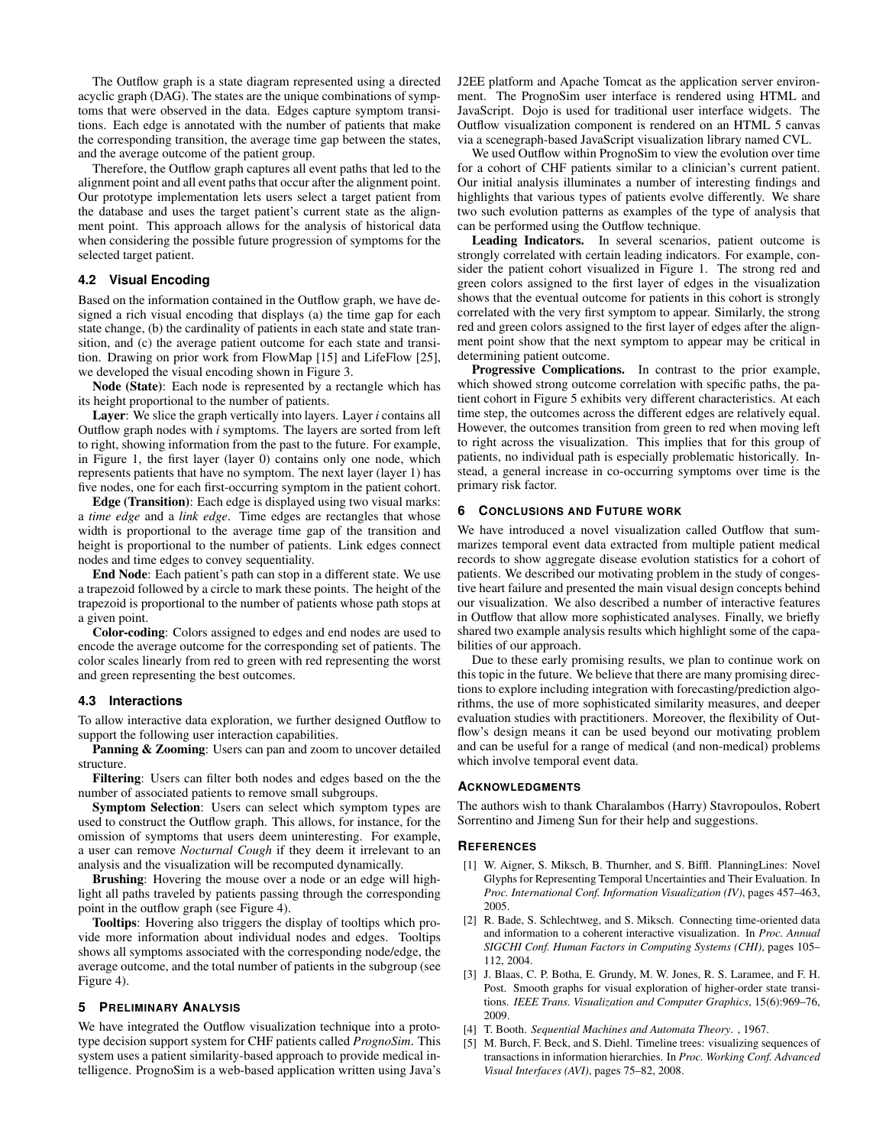The Outflow graph is a state diagram represented using a directed acyclic graph (DAG). The states are the unique combinations of symptoms that were observed in the data. Edges capture symptom transitions. Each edge is annotated with the number of patients that make the corresponding transition, the average time gap between the states, and the average outcome of the patient group.

Therefore, the Outflow graph captures all event paths that led to the alignment point and all event paths that occur after the alignment point. Our prototype implementation lets users select a target patient from the database and uses the target patient's current state as the alignment point. This approach allows for the analysis of historical data when considering the possible future progression of symptoms for the selected target patient.

# **4.2 Visual Encoding**

Based on the information contained in the Outflow graph, we have designed a rich visual encoding that displays (a) the time gap for each state change, (b) the cardinality of patients in each state and state transition, and (c) the average patient outcome for each state and transition. Drawing on prior work from FlowMap [15] and LifeFlow [25], we developed the visual encoding shown in Figure 3.

Node (State): Each node is represented by a rectangle which has its height proportional to the number of patients.

Layer: We slice the graph vertically into layers. Layer *i* contains all Outflow graph nodes with *i* symptoms. The layers are sorted from left to right, showing information from the past to the future. For example, in Figure 1, the first layer (layer 0) contains only one node, which represents patients that have no symptom. The next layer (layer 1) has five nodes, one for each first-occurring symptom in the patient cohort.

Edge (Transition): Each edge is displayed using two visual marks: a *time edge* and a *link edge*. Time edges are rectangles that whose width is proportional to the average time gap of the transition and height is proportional to the number of patients. Link edges connect nodes and time edges to convey sequentiality.

End Node: Each patient's path can stop in a different state. We use a trapezoid followed by a circle to mark these points. The height of the trapezoid is proportional to the number of patients whose path stops at a given point.

Color-coding: Colors assigned to edges and end nodes are used to encode the average outcome for the corresponding set of patients. The color scales linearly from red to green with red representing the worst and green representing the best outcomes.

## **4.3 Interactions**

To allow interactive data exploration, we further designed Outflow to support the following user interaction capabilities.

Panning & Zooming: Users can pan and zoom to uncover detailed structure.

Filtering: Users can filter both nodes and edges based on the the number of associated patients to remove small subgroups.

Symptom Selection: Users can select which symptom types are used to construct the Outflow graph. This allows, for instance, for the omission of symptoms that users deem uninteresting. For example, a user can remove *Nocturnal Cough* if they deem it irrelevant to an analysis and the visualization will be recomputed dynamically.

Brushing: Hovering the mouse over a node or an edge will highlight all paths traveled by patients passing through the corresponding point in the outflow graph (see Figure 4).

Tooltips: Hovering also triggers the display of tooltips which provide more information about individual nodes and edges. Tooltips shows all symptoms associated with the corresponding node/edge, the average outcome, and the total number of patients in the subgroup (see Figure 4).

## **5 PRELIMINARY ANALYSIS**

We have integrated the Outflow visualization technique into a prototype decision support system for CHF patients called *PrognoSim*. This system uses a patient similarity-based approach to provide medical intelligence. PrognoSim is a web-based application written using Java's J2EE platform and Apache Tomcat as the application server environment. The PrognoSim user interface is rendered using HTML and JavaScript. Dojo is used for traditional user interface widgets. The Outflow visualization component is rendered on an HTML 5 canvas via a scenegraph-based JavaScript visualization library named CVL.

We used Outflow within PrognoSim to view the evolution over time for a cohort of CHF patients similar to a clinician's current patient. Our initial analysis illuminates a number of interesting findings and highlights that various types of patients evolve differently. We share two such evolution patterns as examples of the type of analysis that can be performed using the Outflow technique.

Leading Indicators. In several scenarios, patient outcome is strongly correlated with certain leading indicators. For example, consider the patient cohort visualized in Figure 1. The strong red and green colors assigned to the first layer of edges in the visualization shows that the eventual outcome for patients in this cohort is strongly correlated with the very first symptom to appear. Similarly, the strong red and green colors assigned to the first layer of edges after the alignment point show that the next symptom to appear may be critical in determining patient outcome.

Progressive Complications. In contrast to the prior example, which showed strong outcome correlation with specific paths, the patient cohort in Figure 5 exhibits very different characteristics. At each time step, the outcomes across the different edges are relatively equal. However, the outcomes transition from green to red when moving left to right across the visualization. This implies that for this group of patients, no individual path is especially problematic historically. Instead, a general increase in co-occurring symptoms over time is the primary risk factor.

# **6 CONCLUSIONS AND FUTURE WORK**

We have introduced a novel visualization called Outflow that summarizes temporal event data extracted from multiple patient medical records to show aggregate disease evolution statistics for a cohort of patients. We described our motivating problem in the study of congestive heart failure and presented the main visual design concepts behind our visualization. We also described a number of interactive features in Outflow that allow more sophisticated analyses. Finally, we briefly shared two example analysis results which highlight some of the capabilities of our approach.

Due to these early promising results, we plan to continue work on this topic in the future. We believe that there are many promising directions to explore including integration with forecasting/prediction algorithms, the use of more sophisticated similarity measures, and deeper evaluation studies with practitioners. Moreover, the flexibility of Outflow's design means it can be used beyond our motivating problem and can be useful for a range of medical (and non-medical) problems which involve temporal event data.

## **ACKNOWLEDGMENTS**

The authors wish to thank Charalambos (Harry) Stavropoulos, Robert Sorrentino and Jimeng Sun for their help and suggestions.

## **REFERENCES**

- [1] W. Aigner, S. Miksch, B. Thurnher, and S. Biffl. PlanningLines: Novel Glyphs for Representing Temporal Uncertainties and Their Evaluation. In *Proc. International Conf. Information Visualization (IV)*, pages 457–463, 2005.
- [2] R. Bade, S. Schlechtweg, and S. Miksch. Connecting time-oriented data and information to a coherent interactive visualization. In *Proc. Annual SIGCHI Conf. Human Factors in Computing Systems (CHI)*, pages 105– 112, 2004.
- [3] J. Blaas, C. P. Botha, E. Grundy, M. W. Jones, R. S. Laramee, and F. H. Post. Smooth graphs for visual exploration of higher-order state transitions. *IEEE Trans. Visualization and Computer Graphics*, 15(6):969–76, 2009.
- [4] T. Booth. *Sequential Machines and Automata Theory*. , 1967.
- [5] M. Burch, F. Beck, and S. Diehl. Timeline trees: visualizing sequences of transactions in information hierarchies. In *Proc. Working Conf. Advanced Visual Interfaces (AVI)*, pages 75–82, 2008.